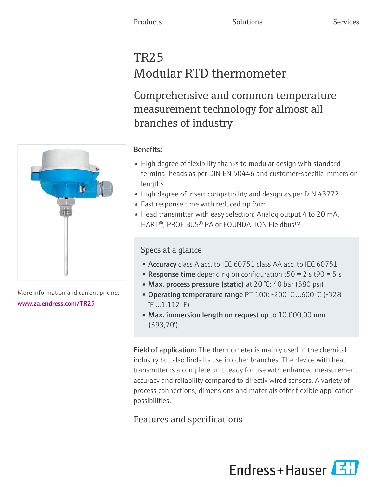# TR25 Modular RTD thermometer

Comprehensive and common temperature measurement technology for almost all branches of industry

### Benefits:

- High degree of flexibility thanks to modular design with standard terminal heads as per DIN EN 50446 and customer-specific immersion lengths
- High degree of insert compatibility and design as per DIN 43772
- Fast response time with reduced tip form
- Head transmitter with easy selection: Analog output 4 to 20 mA, HART®, PROFIBUS® PA or FOUNDATION Fieldbus™

### Specs at a glance

- Accuracy class A acc. to IEC 60751 class AA acc. to IEC 60751
- **Response time** depending on configuration  $t50 = 2$  s  $t90 = 5$  s
- Max. process pressure (static) at 20 °C: 40 bar (580 psi)
- Operating temperature range PT 100: -200 °C ...600 °C (-328  $\sqrt[8]{F}$  ... 1.112  $\sqrt[8]{F}$ )
- Max. immersion length on request up to 10.000,00 mm (393,70'')

Field of application: The thermometer is mainly used in the chemical industry but also finds its use in other branches. The device with head transmitter is a complete unit ready for use with enhanced measurement accuracy and reliability compared to directly wired sensors. A variety of process connections, dimensions and materials offer flexible application possibilities.

## Features and specifications

Endress+Hauser



More information and current pricing: [www.za.endress.com/TR25](https://www.za.endress.com/TR25)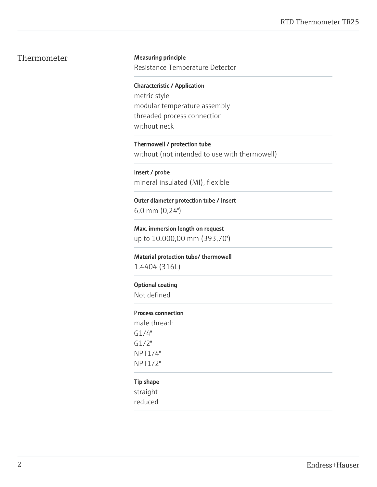### Thermometer Measuring principle

Resistance Temperature Detector

Characteristic / Application metric style modular temperature assembly threaded process connection without neck

Thermowell / protection tube without (not intended to use with thermowell)

Insert / probe mineral insulated (MI), flexible

Outer diameter protection tube / Insert 6,0 mm (0,24'')

Max. immersion length on request up to 10.000,00 mm (393,70'')

Material protection tube/ thermowell 1.4404 (316L)

#### Optional coating

Not defined

#### Process connection

male thread: G1/4" G1/2" NPT1/4" NPT1/2"

#### Tip shape

straight reduced